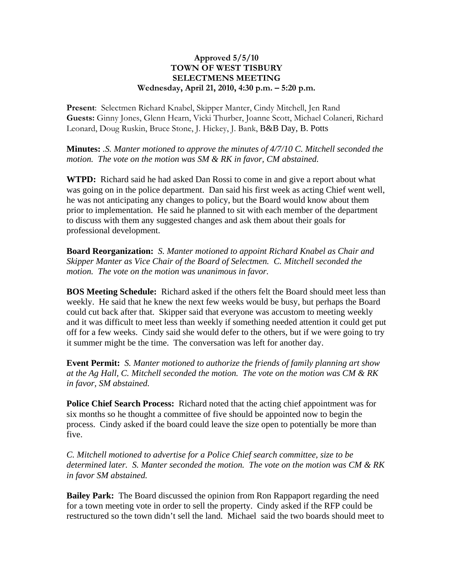## **Approved 5/5/10 TOWN OF WEST TISBURY SELECTMENS MEETING Wednesday, April 21, 2010, 4:30 p.m. – 5:20 p.m.**

**Present**: Selectmen Richard Knabel, Skipper Manter, Cindy Mitchell, Jen Rand **Guests:** Ginny Jones, Glenn Hearn, Vicki Thurber, Joanne Scott, Michael Colaneri, Richard Leonard, Doug Ruskin, Bruce Stone, J. Hickey, J. Bank, B&B Day, B. Potts

**Minutes:** *.S. Manter motioned to approve the minutes of 4/7/10 C. Mitchell seconded the motion. The vote on the motion was SM & RK in favor, CM abstained.*

**WTPD:** Richard said he had asked Dan Rossi to come in and give a report about what was going on in the police department. Dan said his first week as acting Chief went well, he was not anticipating any changes to policy, but the Board would know about them prior to implementation. He said he planned to sit with each member of the department to discuss with them any suggested changes and ask them about their goals for professional development.

**Board Reorganization:** *S. Manter motioned to appoint Richard Knabel as Chair and Skipper Manter as Vice Chair of the Board of Selectmen. C. Mitchell seconded the motion. The vote on the motion was unanimous in favor.*

**BOS Meeting Schedule:** Richard asked if the others felt the Board should meet less than weekly. He said that he knew the next few weeks would be busy, but perhaps the Board could cut back after that. Skipper said that everyone was accustom to meeting weekly and it was difficult to meet less than weekly if something needed attention it could get put off for a few weeks. Cindy said she would defer to the others, but if we were going to try it summer might be the time. The conversation was left for another day.

**Event Permit:** *S. Manter motioned to authorize the friends of family planning art show at the Ag Hall, C. Mitchell seconded the motion. The vote on the motion was CM & RK in favor, SM abstained.*

**Police Chief Search Process:** Richard noted that the acting chief appointment was for six months so he thought a committee of five should be appointed now to begin the process. Cindy asked if the board could leave the size open to potentially be more than five.

*C. Mitchell motioned to advertise for a Police Chief search committee, size to be determined later. S. Manter seconded the motion. The vote on the motion was CM & RK in favor SM abstained.*

**Bailey Park:** The Board discussed the opinion from Ron Rappaport regarding the need for a town meeting vote in order to sell the property. Cindy asked if the RFP could be restructured so the town didn't sell the land. Michael said the two boards should meet to